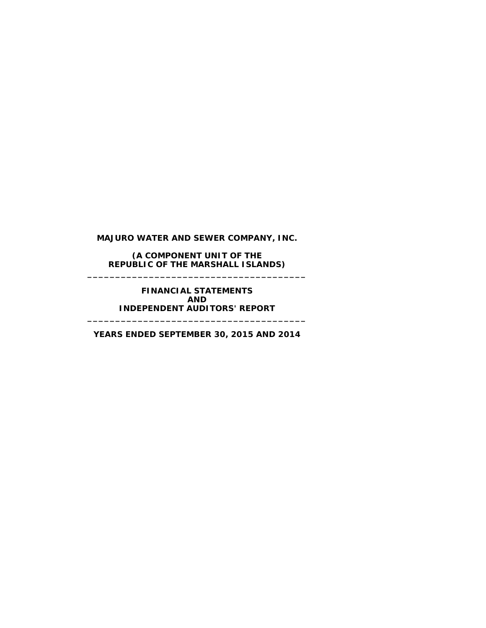**(A COMPONENT UNIT OF THE REPUBLIC OF THE MARSHALL ISLANDS) \_\_\_\_\_\_\_\_\_\_\_\_\_\_\_\_\_\_\_\_\_\_\_\_\_\_\_\_\_\_\_\_\_\_\_\_\_\_\_**

> **FINANCIAL STATEMENTS AND INDEPENDENT AUDITORS' REPORT**

**YEARS ENDED SEPTEMBER 30, 2015 AND 2014**

**\_\_\_\_\_\_\_\_\_\_\_\_\_\_\_\_\_\_\_\_\_\_\_\_\_\_\_\_\_\_\_\_\_\_\_\_\_\_\_**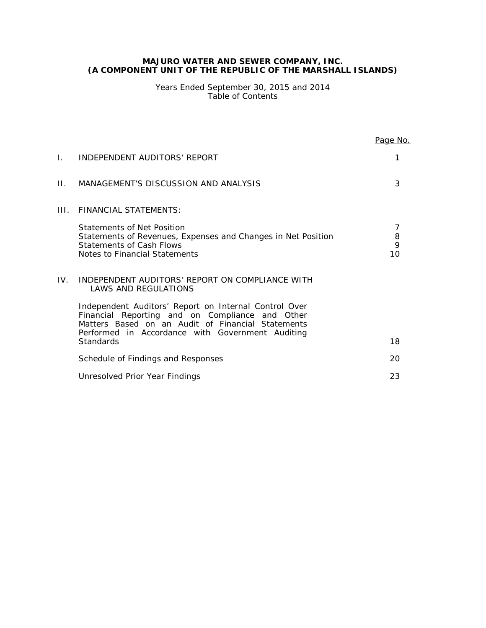Years Ended September 30, 2015 and 2014 Table of Contents

|              |                                                                                                                                                                                                                   | Page No.                                         |
|--------------|-------------------------------------------------------------------------------------------------------------------------------------------------------------------------------------------------------------------|--------------------------------------------------|
| $\mathbf{L}$ | INDEPENDENT AUDITORS' REPORT                                                                                                                                                                                      | 1                                                |
| П.           | MANAGEMENT'S DISCUSSION AND ANALYSIS                                                                                                                                                                              | 3                                                |
| III.         | <b>FINANCIAL STATEMENTS:</b>                                                                                                                                                                                      |                                                  |
|              | Statements of Net Position<br>Statements of Revenues, Expenses and Changes in Net Position<br>Statements of Cash Flows<br>Notes to Financial Statements                                                           | 7<br>$\begin{array}{c} 8 \\ 9 \end{array}$<br>10 |
| IV.          | INDEPENDENT AUDITORS' REPORT ON COMPLIANCE WITH<br>LAWS AND REGULATIONS                                                                                                                                           |                                                  |
|              | Independent Auditors' Report on Internal Control Over<br>Financial Reporting and on Compliance and Other<br>Matters Based on an Audit of Financial Statements<br>Performed in Accordance with Government Auditing |                                                  |
|              | <b>Standards</b>                                                                                                                                                                                                  | 18                                               |
|              | Schedule of Findings and Responses                                                                                                                                                                                | 20                                               |
|              | Unresolved Prior Year Findings                                                                                                                                                                                    | 23                                               |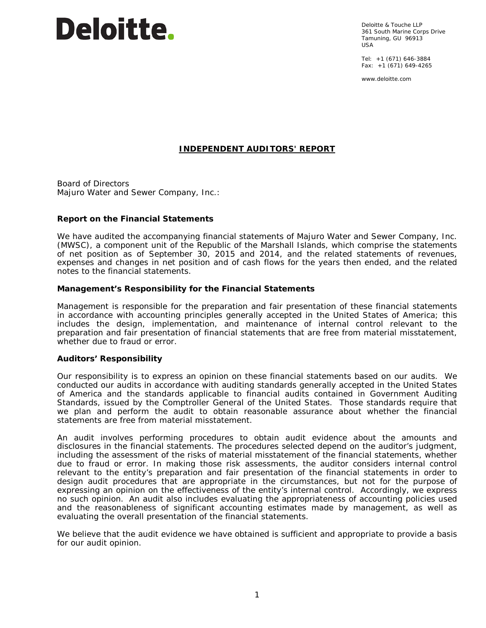# **Deloitte**.

Deloitte & Touche LLP 361 South Marine Corps Drive Tamuning, GU 96913 USA

Tel: +1 (671) 646-3884 Fax: +1 (671) 649-4265

www.deloitte.com

# **INDEPENDENT AUDITORS' REPORT**

Board of Directors Majuro Water and Sewer Company, Inc.:

#### **Report on the Financial Statements**

We have audited the accompanying financial statements of Majuro Water and Sewer Company, Inc. (MWSC), a component unit of the Republic of the Marshall Islands, which comprise the statements of net position as of September 30, 2015 and 2014, and the related statements of revenues, expenses and changes in net position and of cash flows for the years then ended, and the related notes to the financial statements.

#### *Management's Responsibility for the Financial Statements*

Management is responsible for the preparation and fair presentation of these financial statements in accordance with accounting principles generally accepted in the United States of America; this includes the design, implementation, and maintenance of internal control relevant to the preparation and fair presentation of financial statements that are free from material misstatement, whether due to fraud or error.

#### *Auditors' Responsibility*

Our responsibility is to express an opinion on these financial statements based on our audits. We conducted our audits in accordance with auditing standards generally accepted in the United States of America and the standards applicable to financial audits contained in *Government Auditing Standards,* issued by the Comptroller General of the United States. Those standards require that we plan and perform the audit to obtain reasonable assurance about whether the financial statements are free from material misstatement.

An audit involves performing procedures to obtain audit evidence about the amounts and disclosures in the financial statements. The procedures selected depend on the auditor's judgment, including the assessment of the risks of material misstatement of the financial statements, whether due to fraud or error. In making those risk assessments, the auditor considers internal control relevant to the entity's preparation and fair presentation of the financial statements in order to design audit procedures that are appropriate in the circumstances, but not for the purpose of expressing an opinion on the effectiveness of the entity's internal control. Accordingly, we express no such opinion. An audit also includes evaluating the appropriateness of accounting policies used and the reasonableness of significant accounting estimates made by management, as well as evaluating the overall presentation of the financial statements.

We believe that the audit evidence we have obtained is sufficient and appropriate to provide a basis for our audit opinion.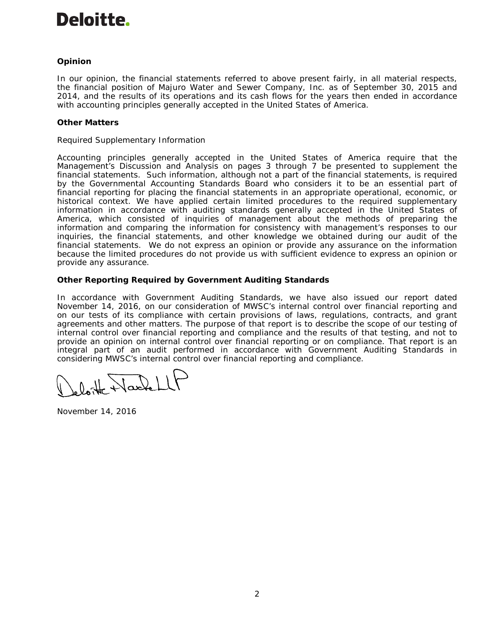# **Deloitte.**

# *Opinion*

In our opinion, the financial statements referred to above present fairly, in all material respects, the financial position of Majuro Water and Sewer Company, Inc. as of September 30, 2015 and 2014, and the results of its operations and its cash flows for the years then ended in accordance with accounting principles generally accepted in the United States of America.

### *Other Matters*

#### *Required Supplementary Information*

Accounting principles generally accepted in the United States of America require that the Management's Discussion and Analysis on pages 3 through 7 be presented to supplement the financial statements. Such information, although not a part of the financial statements, is required by the Governmental Accounting Standards Board who considers it to be an essential part of financial reporting for placing the financial statements in an appropriate operational, economic, or historical context. We have applied certain limited procedures to the required supplementary information in accordance with auditing standards generally accepted in the United States of America, which consisted of inquiries of management about the methods of preparing the information and comparing the information for consistency with management's responses to our inquiries, the financial statements, and other knowledge we obtained during our audit of the financial statements. We do not express an opinion or provide any assurance on the information because the limited procedures do not provide us with sufficient evidence to express an opinion or provide any assurance.

#### **Other Reporting Required by** *Government Auditing Standards*

In accordance with *Government Auditing Standards*, we have also issued our report dated November 14, 2016, on our consideration of MWSC's internal control over financial reporting and on our tests of its compliance with certain provisions of laws, regulations, contracts, and grant agreements and other matters. The purpose of that report is to describe the scope of our testing of internal control over financial reporting and compliance and the results of that testing, and not to provide an opinion on internal control over financial reporting or on compliance. That report is an integral part of an audit performed in accordance with *Government Auditing Standards* in considering MWSC's internal control over financial reporting and compliance.

November 14, 2016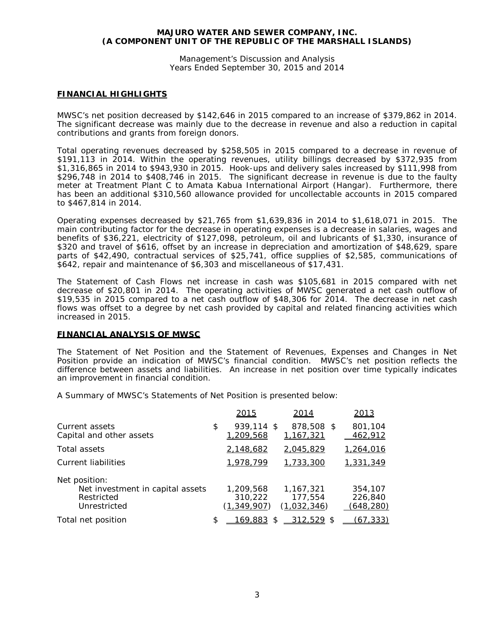Management's Discussion and Analysis Years Ended September 30, 2015 and 2014

#### **FINANCIAL HIGHLIGHTS**

MWSC's net position decreased by \$142,646 in 2015 compared to an increase of \$379,862 in 2014. The significant decrease was mainly due to the decrease in revenue and also a reduction in capital contributions and grants from foreign donors.

Total operating revenues decreased by \$258,505 in 2015 compared to a decrease in revenue of \$191,113 in 2014. Within the operating revenues, utility billings decreased by \$372,935 from \$1,316,865 in 2014 to \$943,930 in 2015. Hook-ups and delivery sales increased by \$111,998 from \$296,748 in 2014 to \$408,746 in 2015. The significant decrease in revenue is due to the faulty meter at Treatment Plant C to Amata Kabua International Airport (Hangar). Furthermore, there has been an additional \$310,560 allowance provided for uncollectable accounts in 2015 compared to \$467,814 in 2014.

Operating expenses decreased by \$21,765 from \$1,639,836 in 2014 to \$1,618,071 in 2015. The main contributing factor for the decrease in operating expenses is a decrease in salaries, wages and benefits of \$36,221, electricity of \$127,098, petroleum, oil and lubricants of \$1,330, insurance of \$320 and travel of \$616, offset by an increase in depreciation and amortization of \$48,629, spare parts of \$42,490, contractual services of \$25,741, office supplies of \$2,585, communications of \$642, repair and maintenance of \$6,303 and miscellaneous of \$17,431.

The Statement of Cash Flows net increase in cash was \$105,681 in 2015 compared with net decrease of \$20,801 in 2014. The operating activities of MWSC generated a net cash outflow of \$19,535 in 2015 compared to a net cash outflow of \$48,306 for 2014. The decrease in net cash flows was offset to a degree by net cash provided by capital and related financing activities which increased in 2015.

#### **FINANCIAL ANALYSIS OF MWSC**

The Statement of Net Position and the Statement of Revenues, Expenses and Changes in Net Position provide an indication of MWSC's financial condition. MWSC's net position reflects the difference between assets and liabilities. An increase in net position over time typically indicates an improvement in financial condition.

A Summary of MWSC's Statements of Net Position is presented below:

|                                                                                 | 2015                                  | 2014                                | 2013                             |
|---------------------------------------------------------------------------------|---------------------------------------|-------------------------------------|----------------------------------|
| Current assets<br>Capital and other assets                                      | \$<br>939,114 \$<br>1,209,568         | 878,508 \$<br>1,167,321             | 801,104<br>462,912               |
| Total assets                                                                    | 2,148,682                             | 2,045,829                           | <u>1,264,016</u>                 |
| Current liabilities                                                             | 1,978,799                             | 1,733,300                           | 1,331,349                        |
| Net position:<br>Net investment in capital assets<br>Restricted<br>Unrestricted | 1,209,568<br>310,222<br>(1, 349, 907) | 1,167,321<br>177,554<br>(1,032,346) | 354,107<br>226,840<br>(648, 280) |
| Total net position                                                              | \$<br>169,883                         | $312,529$ \$<br>\$                  | (67,333)                         |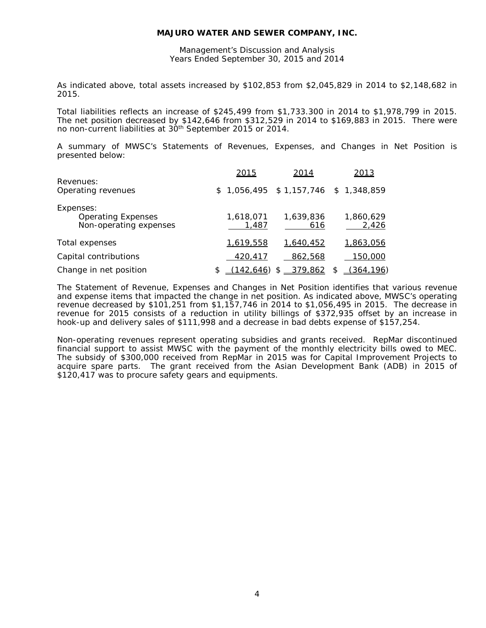Management's Discussion and Analysis Years Ended September 30, 2015 and 2014

As indicated above, total assets increased by \$102,853 from \$2,045,829 in 2014 to \$2,148,682 in 2015.

Total liabilities reflects an increase of \$245,499 from \$1,733.300 in 2014 to \$1,978,799 in 2015. The net position decreased by \$142,646 from \$312,529 in 2014 to \$169,883 in 2015. There were no non-current liabilities at 30th September 2015 or 2014.

A summary of MWSC's Statements of Revenues, Expenses, and Changes in Net Position is presented below:

|                                                                  | 2015               | 2014                                |   | <u> 2013 </u>      |
|------------------------------------------------------------------|--------------------|-------------------------------------|---|--------------------|
| Revenues:<br>Operating revenues                                  |                    | \$1,056,495 \$1,157,746 \$1,348,859 |   |                    |
| Expenses:<br><b>Operating Expenses</b><br>Non-operating expenses | 1,618,071<br>1,487 | 1,639,836<br>616                    |   | 1,860,629<br>2,426 |
| Total expenses                                                   | 1,619,558          | 1,640,452                           |   | 1,863,056          |
| Capital contributions                                            | 420,417            | 862,568                             |   | 150,000            |
| Change in net position                                           | \$<br>(142, 646)   | \$379,862                           | S | (364, 196)         |

The Statement of Revenue, Expenses and Changes in Net Position identifies that various revenue and expense items that impacted the change in net position. As indicated above, MWSC's operating revenue decreased by \$101,251 from \$1,157,746 in 2014 to \$1,056,495 in 2015. The decrease in revenue for 2015 consists of a reduction in utility billings of \$372,935 offset by an increase in hook-up and delivery sales of \$111,998 and a decrease in bad debts expense of \$157,254.

Non-operating revenues represent operating subsidies and grants received. RepMar discontinued financial support to assist MWSC with the payment of the monthly electricity bills owed to MEC. The subsidy of \$300,000 received from RepMar in 2015 was for Capital Improvement Projects to acquire spare parts. The grant received from the Asian Development Bank (ADB) in 2015 of \$120,417 was to procure safety gears and equipments.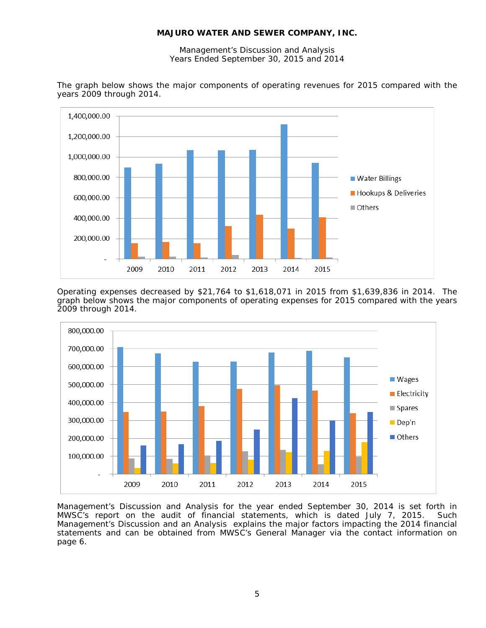Management's Discussion and Analysis Years Ended September 30, 2015 and 2014

The graph below shows the major components of operating revenues for 2015 compared with the years 2009 through 2014.



Operating expenses decreased by \$21,764 to \$1,618,071 in 2015 from \$1,639,836 in 2014. The graph below shows the major components of operating expenses for 2015 compared with the years 2009 through 2014.



Management's Discussion and Analysis for the year ended September 30, 2014 is set forth in MWSC's report on the audit of financial statements, which is dated July 7, 2015. Such Management's Discussion and an Analysis explains the major factors impacting the 2014 financial statements and can be obtained from MWSC's General Manager via the contact information on page 6.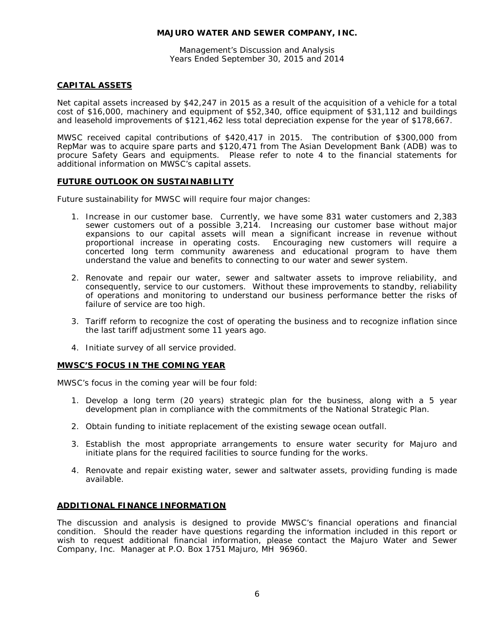Management's Discussion and Analysis Years Ended September 30, 2015 and 2014

# **CAPITAL ASSETS**

Net capital assets increased by \$42,247 in 2015 as a result of the acquisition of a vehicle for a total cost of \$16,000, machinery and equipment of \$52,340, office equipment of \$31,112 and buildings and leasehold improvements of \$121,462 less total depreciation expense for the year of \$178,667.

MWSC received capital contributions of \$420,417 in 2015. The contribution of \$300,000 from RepMar was to acquire spare parts and \$120,471 from The Asian Development Bank (ADB) was to procure Safety Gears and equipments. Please refer to note 4 to the financial statements for additional information on MWSC's capital assets.

## **FUTURE OUTLOOK ON SUSTAINABILITY**

Future sustainability for MWSC will require four major changes:

- 1. Increase in our customer base. Currently, we have some 831 water customers and 2,383 sewer customers out of a possible 3,214. Increasing our customer base without major expansions to our capital assets will mean a significant increase in revenue without proportional increase in operating costs. Encouraging new customers will require a concerted long term community awareness and educational program to have them understand the value and benefits to connecting to our water and sewer system.
- 2. Renovate and repair our water, sewer and saltwater assets to improve reliability, and consequently, service to our customers. Without these improvements to standby, reliability of operations and monitoring to understand our business performance better the risks of failure of service are too high.
- 3. Tariff reform to recognize the cost of operating the business and to recognize inflation since the last tariff adjustment some 11 years ago.
- 4. Initiate survey of all service provided.

#### **MWSC'S FOCUS IN THE COMING YEAR**

MWSC's focus in the coming year will be four fold:

- 1. Develop a long term (20 years) strategic plan for the business, along with a 5 year development plan in compliance with the commitments of the National Strategic Plan.
- 2. Obtain funding to initiate replacement of the existing sewage ocean outfall.
- 3. Establish the most appropriate arrangements to ensure water security for Majuro and initiate plans for the required facilities to source funding for the works.
- 4. Renovate and repair existing water, sewer and saltwater assets, providing funding is made available.

#### **ADDITIONAL FINANCE INFORMATION**

The discussion and analysis is designed to provide MWSC's financial operations and financial condition. Should the reader have questions regarding the information included in this report or wish to request additional financial information, please contact the Majuro Water and Sewer Company, Inc. Manager at P.O. Box 1751 Majuro, MH 96960.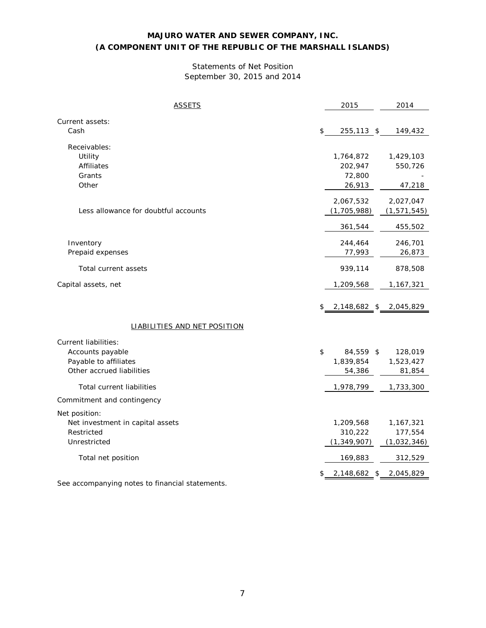## Statements of Net Position September 30, 2015 and 2014

| <b>ASSETS</b>                                   | 2015             | 2014                   |
|-------------------------------------------------|------------------|------------------------|
| Current assets:                                 |                  |                        |
| Cash                                            | \$<br>255,113 \$ | 149,432                |
| Receivables:                                    |                  |                        |
| Utility                                         | 1,764,872        | 1,429,103              |
| <b>Affiliates</b>                               | 202,947          | 550,726                |
| Grants                                          | 72,800           |                        |
| Other                                           | 26,913           | 47,218                 |
|                                                 | 2,067,532        | 2,027,047              |
| Less allowance for doubtful accounts            | (1,705,988)      | (1, 571, 545)          |
|                                                 |                  |                        |
|                                                 | 361,544          | 455,502                |
| Inventory                                       | 244,464          | 246,701                |
| Prepaid expenses                                | 77,993           | 26,873                 |
| Total current assets                            | 939,114          | 878,508                |
| Capital assets, net                             | 1,209,568        | 1,167,321              |
|                                                 | \$               | 2,148,682 \$ 2,045,829 |
| <b>LIABILITIES AND NET POSITION</b>             |                  |                        |
| Current liabilities:                            |                  |                        |
| Accounts payable                                | \$<br>84,559 \$  | 128,019                |
| Payable to affiliates                           | 1,839,854        | 1,523,427              |
| Other accrued liabilities                       | 54,386           | 81,854                 |
| <b>Total current liabilities</b>                | 1,978,799        | 1,733,300              |
| Commitment and contingency                      |                  |                        |
| Net position:                                   |                  |                        |
| Net investment in capital assets                | 1,209,568        | 1,167,321              |
| Restricted                                      | 310,222          | 177,554                |
| Unrestricted                                    | (1, 349, 907)    | (1,032,346)            |
| Total net position                              | 169,883          | 312,529                |
|                                                 | 2,148,682 \$     | 2,045,829              |
| See accompanying notes to financial statements. |                  |                        |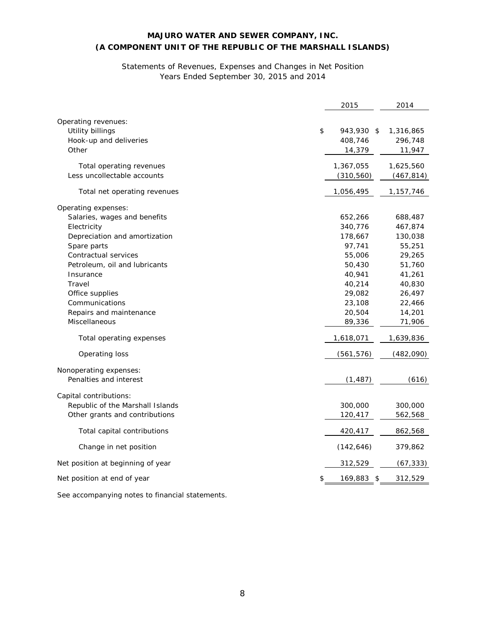# Statements of Revenues, Expenses and Changes in Net Position Years Ended September 30, 2015 and 2014

|                                                                   | 2015                        | 2014                    |
|-------------------------------------------------------------------|-----------------------------|-------------------------|
| Operating revenues:<br>Utility billings<br>Hook-up and deliveries | \$<br>943,930 \$<br>408,746 | 1,316,865<br>296,748    |
| Other                                                             | 14,379                      | 11,947                  |
| Total operating revenues<br>Less uncollectable accounts           | 1,367,055<br>(310, 560)     | 1,625,560<br>(467, 814) |
| Total net operating revenues                                      | 1,056,495                   | 1,157,746               |
| Operating expenses:                                               |                             |                         |
| Salaries, wages and benefits                                      | 652,266                     | 688,487                 |
| Electricity                                                       | 340,776                     | 467,874                 |
| Depreciation and amortization                                     | 178,667                     | 130,038                 |
| Spare parts                                                       | 97,741                      | 55,251                  |
| Contractual services                                              | 55,006                      | 29,265                  |
| Petroleum, oil and lubricants                                     | 50,430                      | 51,760                  |
| Insurance                                                         | 40,941                      | 41,261                  |
| Travel                                                            | 40,214                      | 40,830                  |
| Office supplies                                                   | 29,082                      | 26,497                  |
| Communications                                                    | 23,108                      | 22,466                  |
| Repairs and maintenance                                           | 20,504                      | 14,201                  |
| Miscellaneous                                                     | 89,336                      | 71,906                  |
| Total operating expenses                                          | 1,618,071                   | 1,639,836               |
| Operating loss                                                    | (561, 576)                  | (482,090)               |
| Nonoperating expenses:<br>Penalties and interest                  | (1, 487)                    | (616)                   |
|                                                                   |                             |                         |
| Capital contributions:                                            |                             |                         |
| Republic of the Marshall Islands                                  | 300,000                     | 300,000                 |
| Other grants and contributions                                    | 120,417                     | 562,568                 |
| Total capital contributions                                       | 420,417                     | 862,568                 |
| Change in net position                                            | (142, 646)                  | 379,862                 |
| Net position at beginning of year                                 | 312,529                     | (67, 333)               |
| Net position at end of year                                       | 169,883 \$                  | 312,529                 |
|                                                                   |                             |                         |

See accompanying notes to financial statements.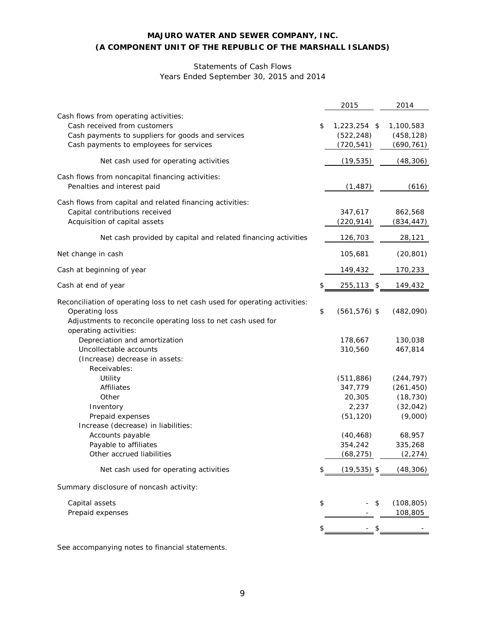## Statements of Cash Flows Years Ended September 30, 2015 and 2014

|                                                                                                                                                                                        | 2015                                                  | 2014                                                          |
|----------------------------------------------------------------------------------------------------------------------------------------------------------------------------------------|-------------------------------------------------------|---------------------------------------------------------------|
| Cash flows from operating activities:<br>Cash received from customers<br>Cash payments to suppliers for goods and services<br>Cash payments to employees for services                  | \$<br>1,223,254 \$<br>(522, 248)<br>(720, 541)        | 1,100,583<br>(458, 128)<br>(690, 761)                         |
| Net cash used for operating activities                                                                                                                                                 | (19, 535)                                             | (48, 306)                                                     |
| Cash flows from noncapital financing activities:<br>Penalties and interest paid                                                                                                        | (1, 487)                                              | (616)                                                         |
| Cash flows from capital and related financing activities:<br>Capital contributions received<br>Acquisition of capital assets                                                           | 347,617<br>(220, 914)                                 | 862,568<br>(834, 447)                                         |
| Net cash provided by capital and related financing activities                                                                                                                          | 126,703                                               | 28,121                                                        |
| Net change in cash                                                                                                                                                                     | 105,681                                               | (20, 801)                                                     |
| Cash at beginning of year                                                                                                                                                              | 149,432                                               | 170,233                                                       |
| Cash at end of year                                                                                                                                                                    | 255,113 \$                                            | 149,432                                                       |
| Reconciliation of operating loss to net cash used for operating activities:<br>Operating loss<br>Adjustments to reconcile operating loss to net cash used for<br>operating activities: | \$<br>$(561, 576)$ \$                                 | (482,090)                                                     |
| Depreciation and amortization<br>Uncollectable accounts<br>(Increase) decrease in assets:<br>Receivables:                                                                              | 178,667<br>310,560                                    | 130,038<br>467,814                                            |
| Utility<br>Affiliates<br>Other<br>Inventory<br>Prepaid expenses                                                                                                                        | (511, 886)<br>347,779<br>20,305<br>2,237<br>(51, 120) | (244, 797)<br>(261, 450)<br>(18, 730)<br>(32, 042)<br>(9,000) |
| Increase (decrease) in liabilities:<br>Accounts payable<br>Payable to affiliates<br>Other accrued liabilities                                                                          | (40, 468)<br>354,242<br>(68, 275)                     | 68,957<br>335,268<br>(2, 274)                                 |
| Net cash used for operating activities                                                                                                                                                 | \$<br>$(19, 535)$ \$                                  | (48, 306)                                                     |
| Summary disclosure of noncash activity:                                                                                                                                                |                                                       |                                                               |
| Capital assets<br>Prepaid expenses                                                                                                                                                     | \$<br>\$                                              | (108, 805)<br>108,805                                         |
|                                                                                                                                                                                        | \$<br>- \$                                            |                                                               |

See accompanying notes to financial statements.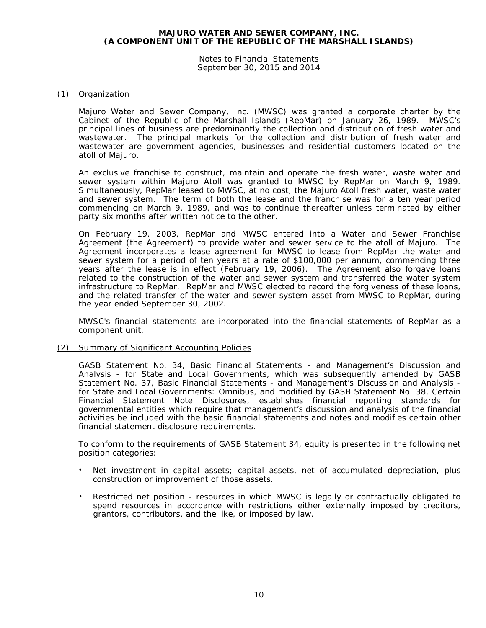Notes to Financial Statements September 30, 2015 and 2014

#### (1) Organization

Majuro Water and Sewer Company, Inc. (MWSC) was granted a corporate charter by the Cabinet of the Republic of the Marshall Islands (RepMar) on January 26, 1989. MWSC's principal lines of business are predominantly the collection and distribution of fresh water and wastewater. The principal markets for the collection and distribution of fresh water and wastewater are government agencies, businesses and residential customers located on the atoll of Majuro.

An exclusive franchise to construct, maintain and operate the fresh water, waste water and sewer system within Majuro Atoll was granted to MWSC by RepMar on March 9, 1989. Simultaneously, RepMar leased to MWSC, at no cost, the Majuro Atoll fresh water, waste water and sewer system. The term of both the lease and the franchise was for a ten year period commencing on March 9, 1989, and was to continue thereafter unless terminated by either party six months after written notice to the other.

On February 19, 2003, RepMar and MWSC entered into a Water and Sewer Franchise Agreement (the Agreement) to provide water and sewer service to the atoll of Majuro. The Agreement incorporates a lease agreement for MWSC to lease from RepMar the water and sewer system for a period of ten years at a rate of \$100,000 per annum, commencing three years after the lease is in effect (February 19, 2006). The Agreement also forgave loans related to the construction of the water and sewer system and transferred the water system infrastructure to RepMar. RepMar and MWSC elected to record the forgiveness of these loans, and the related transfer of the water and sewer system asset from MWSC to RepMar, during the year ended September 30, 2002.

MWSC's financial statements are incorporated into the financial statements of RepMar as a component unit.

#### (2) Summary of Significant Accounting Policies

GASB Statement No. 34, *Basic Financial Statements - and Management's Discussion and Analysis - for State and Local Governments*, which was subsequently amended by GASB Statement No. 37, *Basic Financial Statements - and Management's Discussion and Analysis for State and Local Governments: Omnibus*, and modified by GASB Statement No. 38, *Certain Financial Statement Note Disclosures*, establishes financial reporting standards for governmental entities which require that management's discussion and analysis of the financial activities be included with the basic financial statements and notes and modifies certain other financial statement disclosure requirements.

To conform to the requirements of GASB Statement 34, equity is presented in the following net position categories:

- Net investment in capital assets; capital assets, net of accumulated depreciation, plus construction or improvement of those assets.
- Restricted net position resources in which MWSC is legally or contractually obligated to spend resources in accordance with restrictions either externally imposed by creditors, grantors, contributors, and the like, or imposed by law.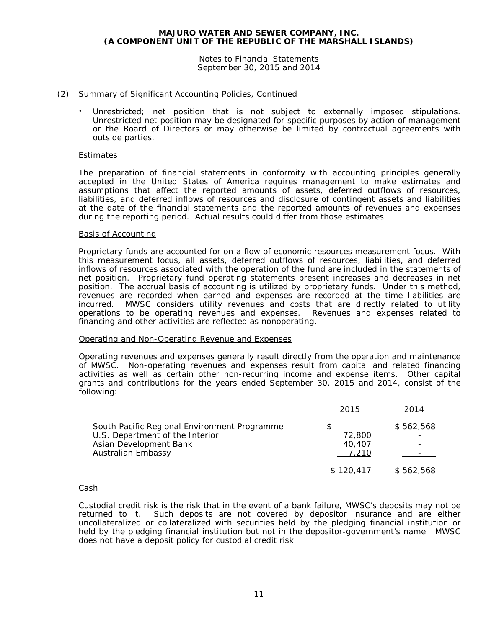Notes to Financial Statements September 30, 2015 and 2014

#### (2) Summary of Significant Accounting Policies, Continued

 Unrestricted; net position that is not subject to externally imposed stipulations. Unrestricted net position may be designated for specific purposes by action of management or the Board of Directors or may otherwise be limited by contractual agreements with outside parties.

#### **Estimates**

The preparation of financial statements in conformity with accounting principles generally accepted in the United States of America requires management to make estimates and assumptions that affect the reported amounts of assets, deferred outflows of resources, liabilities, and deferred inflows of resources and disclosure of contingent assets and liabilities at the date of the financial statements and the reported amounts of revenues and expenses during the reporting period. Actual results could differ from those estimates.

#### Basis of Accounting

Proprietary funds are accounted for on a flow of economic resources measurement focus. With this measurement focus, all assets, deferred outflows of resources, liabilities, and deferred inflows of resources associated with the operation of the fund are included in the statements of net position. Proprietary fund operating statements present increases and decreases in net position. The accrual basis of accounting is utilized by proprietary funds. Under this method, revenues are recorded when earned and expenses are recorded at the time liabilities are incurred. MWSC considers utility revenues and costs that are directly related to utility operations to be operating revenues and expenses. Revenues and expenses related to financing and other activities are reflected as nonoperating.

#### Operating and Non-Operating Revenue and Expenses

Operating revenues and expenses generally result directly from the operation and maintenance of MWSC. Non-operating revenues and expenses result from capital and related financing activities as well as certain other non-recurring income and expense items. Other capital grants and contributions for the years ended September 30, 2015 and 2014, consist of the following:

|                                                                                                                                 | 2015                      | 2014      |
|---------------------------------------------------------------------------------------------------------------------------------|---------------------------|-----------|
| South Pacific Regional Environment Programme<br>U.S. Department of the Interior<br>Asian Development Bank<br>Australian Embassy | 72,800<br>40.407<br>7.210 | \$562.568 |
|                                                                                                                                 | \$120.417                 | \$562,568 |

#### Cash

Custodial credit risk is the risk that in the event of a bank failure, MWSC's deposits may not be returned to it. Such deposits are not covered by depositor insurance and are either uncollateralized or collateralized with securities held by the pledging financial institution or held by the pledging financial institution but not in the depositor-government's name. MWSC does not have a deposit policy for custodial credit risk.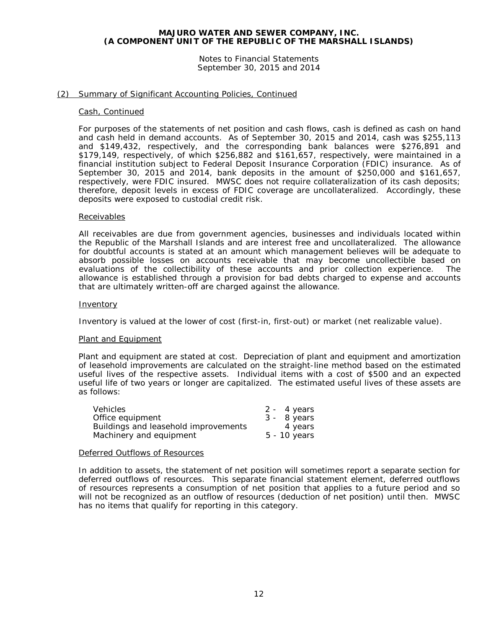Notes to Financial Statements September 30, 2015 and 2014

#### (2) Summary of Significant Accounting Policies, Continued

#### Cash, Continued

For purposes of the statements of net position and cash flows, cash is defined as cash on hand and cash held in demand accounts. As of September 30, 2015 and 2014, cash was \$255,113 and \$149,432, respectively, and the corresponding bank balances were \$276,891 and \$179,149, respectively, of which \$256,882 and \$161,657, respectively, were maintained in a financial institution subject to Federal Deposit Insurance Corporation (FDIC) insurance. As of September 30, 2015 and 2014, bank deposits in the amount of \$250,000 and \$161,657, respectively, were FDIC insured. MWSC does not require collateralization of its cash deposits; therefore, deposit levels in excess of FDIC coverage are uncollateralized. Accordingly, these deposits were exposed to custodial credit risk.

#### Receivables

All receivables are due from government agencies, businesses and individuals located within the Republic of the Marshall Islands and are interest free and uncollateralized. The allowance for doubtful accounts is stated at an amount which management believes will be adequate to absorb possible losses on accounts receivable that may become uncollectible based on evaluations of the collectibility of these accounts and prior collection experience. The allowance is established through a provision for bad debts charged to expense and accounts that are ultimately written-off are charged against the allowance.

#### **Inventory**

Inventory is valued at the lower of cost (first-in, first-out) or market (net realizable value).

#### Plant and Equipment

Plant and equipment are stated at cost. Depreciation of plant and equipment and amortization of leasehold improvements are calculated on the straight-line method based on the estimated useful lives of the respective assets. Individual items with a cost of \$500 and an expected useful life of two years or longer are capitalized. The estimated useful lives of these assets are as follows:

| Vehicles                             | $2 - 4$ years  |
|--------------------------------------|----------------|
| Office equipment                     | 3 - 8 years    |
| Buildings and leasehold improvements | 4 years        |
| Machinery and equipment              | $5 - 10$ years |

#### Deferred Outflows of Resources

In addition to assets, the statement of net position will sometimes report a separate section for deferred outflows of resources. This separate financial statement element, deferred outflows of resources represents a consumption of net position that applies to a future period and so will not be recognized as an outflow of resources (deduction of net position) until then. MWSC has no items that qualify for reporting in this category.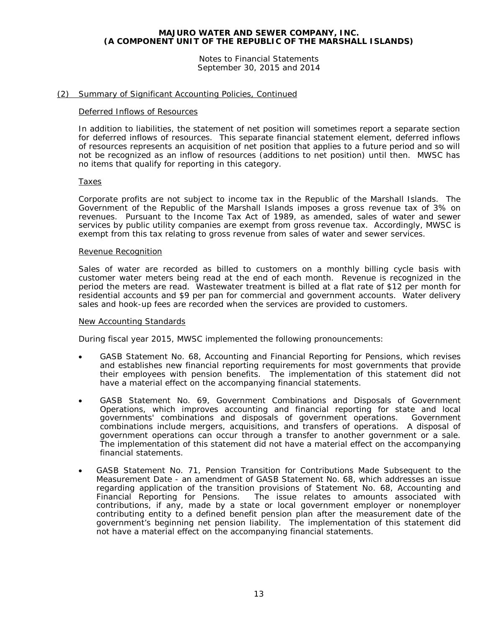Notes to Financial Statements September 30, 2015 and 2014

#### (2) Summary of Significant Accounting Policies, Continued

#### Deferred Inflows of Resources

In addition to liabilities, the statement of net position will sometimes report a separate section for deferred inflows of resources. This separate financial statement element, deferred inflows of resources represents an acquisition of net position that applies to a future period and so will not be recognized as an inflow of resources (additions to net position) until then. MWSC has no items that qualify for reporting in this category.

#### **Taxes**

Corporate profits are not subject to income tax in the Republic of the Marshall Islands. The Government of the Republic of the Marshall Islands imposes a gross revenue tax of 3% on revenues. Pursuant to the Income Tax Act of 1989, as amended, sales of water and sewer services by public utility companies are exempt from gross revenue tax. Accordingly, MWSC is exempt from this tax relating to gross revenue from sales of water and sewer services.

#### Revenue Recognition

Sales of water are recorded as billed to customers on a monthly billing cycle basis with customer water meters being read at the end of each month. Revenue is recognized in the period the meters are read. Wastewater treatment is billed at a flat rate of \$12 per month for residential accounts and \$9 per pan for commercial and government accounts. Water delivery sales and hook-up fees are recorded when the services are provided to customers.

#### New Accounting Standards

During fiscal year 2015, MWSC implemented the following pronouncements:

- GASB S*tatement* No. 68, *Accounting and Financial Reporting for Pensions*, which revises and establishes new financial reporting requirements for most governments that provide their employees with pension benefits. The implementation of this statement did not have a material effect on the accompanying financial statements.
- GASB Statement No. 69, *Government Combinations and Disposals of Government Operations*, which improves accounting and financial reporting for state and local governments' combinations and disposals of government operations. Government combinations include mergers, acquisitions, and transfers of operations. A disposal of government operations can occur through a transfer to another government or a sale. The implementation of this statement did not have a material effect on the accompanying financial statements.
- GASB Statement No. 71, *Pension Transition for Contributions Made Subsequent to the Measurement Date - an amendment of GASB Statement No. 68,* which addresses an issue regarding application of the transition provisions of Statement No. 68, *Accounting and*  The issue relates to amounts associated with contributions, if any, made by a state or local government employer or nonemployer contributing entity to a defined benefit pension plan after the measurement date of the government's beginning net pension liability. The implementation of this statement did not have a material effect on the accompanying financial statements.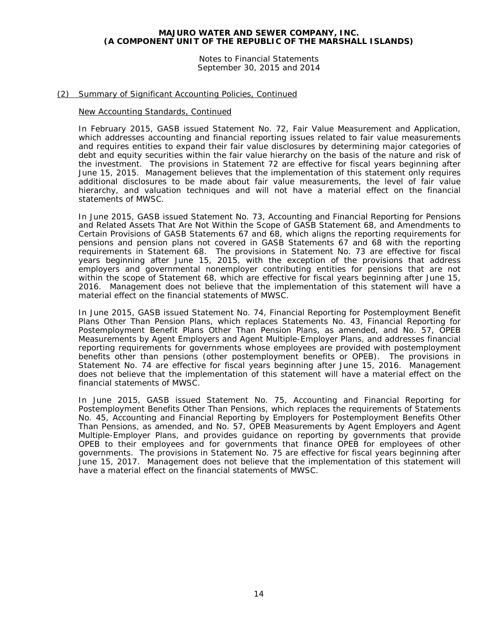Notes to Financial Statements September 30, 2015 and 2014

#### (2) Summary of Significant Accounting Policies, Continued

#### New Accounting Standards, Continued

In February 2015, GASB issued Statement No. 72, *Fair Value Measurement and Application,*  which addresses accounting and financial reporting issues related to fair value measurements and requires entities to expand their fair value disclosures by determining major categories of debt and equity securities within the fair value hierarchy on the basis of the nature and risk of the investment. The provisions in Statement 72 are effective for fiscal years beginning after June 15, 2015. Management believes that the implementation of this statement only requires additional disclosures to be made about fair value measurements, the level of fair value hierarchy, and valuation techniques and will not have a material effect on the financial statements of MWSC.

In June 2015, GASB issued Statement No. 73, *Accounting and Financial Reporting for Pensions and Related Assets That Are Not Within the Scope of GASB Statement 68, and Amendments to Certain Provisions of GASB Statements 67 and 68*, which aligns the reporting requirements for pensions and pension plans not covered in GASB Statements 67 and 68 with the reporting requirements in Statement 68. The provisions in Statement No. 73 are effective for fiscal years beginning after June 15, 2015, with the exception of the provisions that address employers and governmental nonemployer contributing entities for pensions that are not within the scope of Statement 68, which are effective for fiscal years beginning after June 15, 2016. Management does not believe that the implementation of this statement will have a material effect on the financial statements of MWSC.

In June 2015, GASB issued Statement No. 74, *Financial Reporting for Postemployment Benefit Plans Other Than Pension Plans*, which replaces Statements No. 43, *Financial Reporting for Postemployment Benefit Plans Other Than Pension Plans*, as amended, and No. 57, *OPEB Measurements by Agent Employers and Agent Multiple-Employer Plans*, and addresses financial reporting requirements for governments whose employees are provided with postemployment benefits other than pensions (other postemployment benefits or OPEB). The provisions in Statement No. 74 are effective for fiscal years beginning after June 15, 2016. Management does not believe that the implementation of this statement will have a material effect on the financial statements of MWSC.

In June 2015, GASB issued Statement No. 75, *Accounting and Financial Reporting for Postemployment Benefits Other Than Pensions*, which replaces the requirements of Statements No. 45, *Accounting and Financial Reporting by Employers for Postemployment Benefits Other Than Pensions*, as amended, and No. 57, *OPEB Measurements by Agent Employers and Agent Multiple-Employer Plans*, and provides guidance on reporting by governments that provide OPEB to their employees and for governments that finance OPEB for employees of other governments. The provisions in Statement No. 75 are effective for fiscal years beginning after June 15, 2017. Management does not believe that the implementation of this statement will have a material effect on the financial statements of MWSC.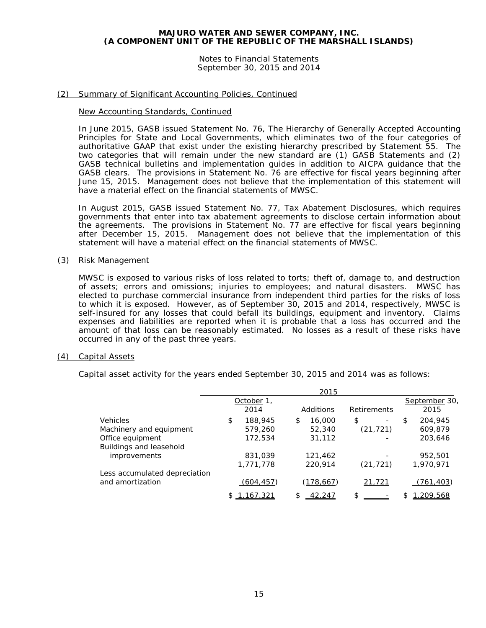Notes to Financial Statements September 30, 2015 and 2014

#### (2) Summary of Significant Accounting Policies, Continued

#### New Accounting Standards, Continued

In June 2015, GASB issued Statement No. 76, *The Hierarchy of Generally Accepted Accounting Principles for State and Local Governments*, which eliminates two of the four categories of authoritative GAAP that exist under the existing hierarchy prescribed by Statement 55. The two categories that will remain under the new standard are (1) GASB Statements and (2) GASB technical bulletins and implementation guides in addition to AICPA guidance that the GASB clears. The provisions in Statement No. 76 are effective for fiscal years beginning after June 15, 2015. Management does not believe that the implementation of this statement will have a material effect on the financial statements of MWSC.

In August 2015, GASB issued Statement No. 77, *Tax Abatement Disclosures*, which requires governments that enter into tax abatement agreements to disclose certain information about the agreements. The provisions in Statement No. 77 are effective for fiscal years beginning after December 15, 2015. Management does not believe that the implementation of this statement will have a material effect on the financial statements of MWSC.

#### (3) Risk Management

MWSC is exposed to various risks of loss related to torts; theft of, damage to, and destruction of assets; errors and omissions; injuries to employees; and natural disasters. MWSC has elected to purchase commercial insurance from independent third parties for the risks of loss to which it is exposed. However, as of September 30, 2015 and 2014, respectively, MWSC is self-insured for any losses that could befall its buildings, equipment and inventory. Claims expenses and liabilities are reported when it is probable that a loss has occurred and the amount of that loss can be reasonably estimated. No losses as a result of these risks have occurred in any of the past three years.

#### (4) Capital Assets

Capital asset activity for the years ended September 30, 2015 and 2014 was as follows:

|                               |               | 2015         |             |               |
|-------------------------------|---------------|--------------|-------------|---------------|
|                               | October 1,    |              |             | September 30, |
|                               | 2014          | Additions    | Retirements | 2015          |
| <b>Vehicles</b>               | \$<br>188,945 | \$<br>16,000 | \$          | \$<br>204,945 |
| Machinery and equipment       | 579,260       | 52,340       | (21, 721)   | 609,879       |
| Office equipment              | 172,534       | 31,112       |             | 203,646       |
| Buildings and leasehold       |               |              |             |               |
| improvements                  | 831,039       | 121,462      |             | 952,501       |
|                               | 1,771,778     | 220,914      | (21, 721)   | 1,970,971     |
| Less accumulated depreciation |               |              |             |               |
| and amortization              | (604, 457)    | (178, 667)   | 21,721      | (761, 403)    |
|                               | 1,167,321     | 42.247       | \$          | \$<br>209.568 |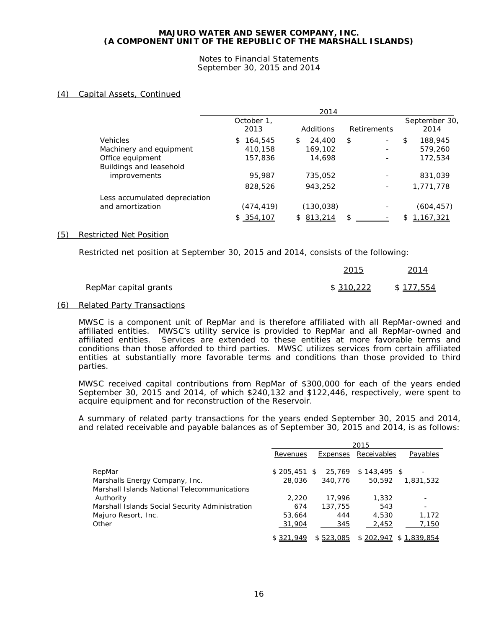Notes to Financial Statements September 30, 2015 and 2014

#### (4) Capital Assets, Continued

|                               |                  | 2014         |                                |                 |
|-------------------------------|------------------|--------------|--------------------------------|-----------------|
|                               | October 1,       |              |                                | September 30,   |
|                               | <u> 2013</u>     | Additions    | Retirements                    | 2014            |
| <b>Vehicles</b>               | 164,545<br>S.    | 24,400<br>\$ | \$<br>$\overline{\phantom{0}}$ | 188,945<br>\$   |
| Machinery and equipment       | 410,158          | 169,102      |                                | 579,260         |
| Office equipment              | 157,836          | 14,698       |                                | 172,534         |
| Buildings and leasehold       |                  |              |                                |                 |
| improvements                  | 95,987           | 735,052      |                                | 831,039         |
|                               | 828,526          | 943,252      |                                | 1,771,778       |
| Less accumulated depreciation |                  |              |                                |                 |
| and amortization              | <u>(474,419)</u> | (130, 038)   |                                | (604, 457)      |
|                               | \$354,107        | 813,214<br>S | \$                             | 1,167,321<br>\$ |

#### (5) Restricted Net Position

Restricted net position at September 30, 2015 and 2014, consists of the following:

|                       | 2015      | 2014      |
|-----------------------|-----------|-----------|
| RepMar capital grants | \$310,222 | \$177,554 |

#### (6) Related Party Transactions

MWSC is a component unit of RepMar and is therefore affiliated with all RepMar-owned and affiliated entities. MWSC's utility service is provided to RepMar and all RepMar-owned and affiliated entities. Services are extended to these entities at more favorable terms and conditions than those afforded to third parties. MWSC utilizes services from certain affiliated entities at substantially more favorable terms and conditions than those provided to third parties.

MWSC received capital contributions from RepMar of \$300,000 for each of the years ended September 30, 2015 and 2014, of which \$240,132 and \$122,446, respectively, were spent to acquire equipment and for reconstruction of the Reservoir.

A summary of related party transactions for the years ended September 30, 2015 and 2014, and related receivable and payable balances as of September 30, 2015 and 2014, is as follows:

|                                                 | 2015          |           |               |             |  |
|-------------------------------------------------|---------------|-----------|---------------|-------------|--|
|                                                 | Revenues      | Expenses  | Receivables   | Payables    |  |
| RepMar                                          | $$205,451$ \$ | 25,769    | $$143,495$ \$ | ٠           |  |
| Marshalls Energy Company, Inc.                  | 28,036        | 340.776   | 50,592        | 1,831,532   |  |
| Marshall Islands National Telecommunications    |               |           |               |             |  |
| Authority                                       | 2,220         | 17.996    | 1,332         |             |  |
| Marshall Islands Social Security Administration | 674           | 137,755   | 543           |             |  |
| Majuro Resort, Inc.                             | 53,664        | 444       | 4,530         | 1,172       |  |
| Other                                           | 31,904        | 345       | 2,452         | 7,150       |  |
|                                                 | \$321,949     | \$523,085 | \$202,947     | \$1,839,854 |  |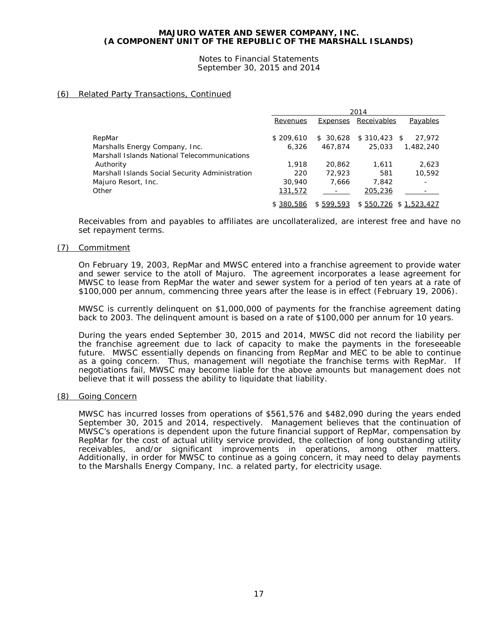Notes to Financial Statements September 30, 2015 and 2014

#### (6) Related Party Transactions, Continued

|                                                 | 2014      |           |                      |             |
|-------------------------------------------------|-----------|-----------|----------------------|-------------|
|                                                 | Revenues  |           | Expenses Receivables | Payables    |
| RepMar                                          | \$209,610 | \$30.628  | $$310.423$ \$        | 27.972      |
| Marshalls Energy Company, Inc.                  | 6.326     | 467,874   | 25,033               | 1,482,240   |
| Marshall Islands National Telecommunications    |           |           |                      |             |
| Authority                                       | 1,918     | 20,862    | 1.611                | 2,623       |
| Marshall Islands Social Security Administration | 220       | 72,923    | 581                  | 10,592      |
| Majuro Resort, Inc.                             | 30,940    | 7.666     | 7.842                |             |
| Other                                           | 131,572   |           | 205,236              |             |
|                                                 | \$380,586 | \$599,593 | \$550,726            | \$1,523,427 |

Receivables from and payables to affiliates are uncollateralized, are interest free and have no set repayment terms.

#### (7) Commitment

On February 19, 2003, RepMar and MWSC entered into a franchise agreement to provide water and sewer service to the atoll of Majuro. The agreement incorporates a lease agreement for MWSC to lease from RepMar the water and sewer system for a period of ten years at a rate of \$100,000 per annum, commencing three years after the lease is in effect (February 19, 2006).

MWSC is currently delinquent on \$1,000,000 of payments for the franchise agreement dating back to 2003. The delinquent amount is based on a rate of \$100,000 per annum for 10 years.

During the years ended September 30, 2015 and 2014, MWSC did not record the liability per the franchise agreement due to lack of capacity to make the payments in the foreseeable future. MWSC essentially depends on financing from RepMar and MEC to be able to continue as a going concern. Thus, management will negotiate the franchise terms with RepMar. If negotiations fail, MWSC may become liable for the above amounts but management does not believe that it will possess the ability to liquidate that liability.

#### (8) Going Concern

MWSC has incurred losses from operations of \$561,576 and \$482,090 during the years ended September 30, 2015 and 2014, respectively. Management believes that the continuation of MWSC's operations is dependent upon the future financial support of RepMar, compensation by RepMar for the cost of actual utility service provided, the collection of long outstanding utility receivables, and/or significant improvements in operations, among other matters. Additionally, in order for MWSC to continue as a going concern, it may need to delay payments to the Marshalls Energy Company, Inc. a related party, for electricity usage.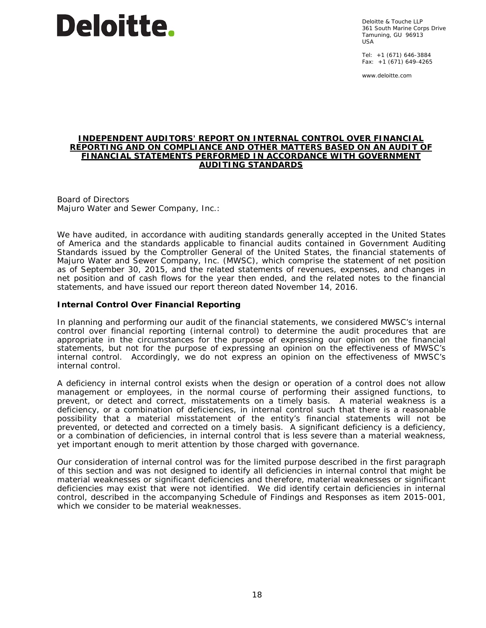# Deloitte.

Deloitte & Touche LLP 361 South Marine Corps Drive Tamuning, GU 96913 USA

Tel: +1 (671) 646-3884 Fax: +1 (671) 649-4265

www.deloitte.com

#### **INDEPENDENT AUDITORS' REPORT ON INTERNAL CONTROL OVER FINANCIAL REPORTING AND ON COMPLIANCE AND OTHER MATTERS BASED ON AN AUDIT OF FINANCIAL STATEMENTS PERFORMED IN ACCORDANCE WITH** *GOVERNMENT AUDITING STANDARDS*

Board of Directors Majuro Water and Sewer Company, Inc.:

We have audited, in accordance with auditing standards generally accepted in the United States of America and the standards applicable to financial audits contained in *Government Auditing Standards* issued by the Comptroller General of the United States, the financial statements of Majuro Water and Sewer Company, Inc. (MWSC), which comprise the statement of net position as of September 30, 2015, and the related statements of revenues, expenses, and changes in net position and of cash flows for the year then ended, and the related notes to the financial statements, and have issued our report thereon dated November 14, 2016.

#### **Internal Control Over Financial Reporting**

In planning and performing our audit of the financial statements, we considered MWSC's internal control over financial reporting (internal control) to determine the audit procedures that are appropriate in the circumstances for the purpose of expressing our opinion on the financial statements, but not for the purpose of expressing an opinion on the effectiveness of MWSC's internal control. Accordingly, we do not express an opinion on the effectiveness of MWSC's internal control.

A *deficiency in internal control* exists when the design or operation of a control does not allow management or employees, in the normal course of performing their assigned functions, to prevent, or detect and correct, misstatements on a timely basis. A *material weakness* is a deficiency, or a combination of deficiencies, in internal control such that there is a reasonable possibility that a material misstatement of the entity's financial statements will not be prevented, or detected and corrected on a timely basis. A *significant deficiency* is a deficiency, or a combination of deficiencies, in internal control that is less severe than a material weakness, yet important enough to merit attention by those charged with governance.

Our consideration of internal control was for the limited purpose described in the first paragraph of this section and was not designed to identify all deficiencies in internal control that might be material weaknesses or significant deficiencies and therefore, material weaknesses or significant deficiencies may exist that were not identified. We did identify certain deficiencies in internal control, described in the accompanying Schedule of Findings and Responses as item 2015-001, which we consider to be material weaknesses.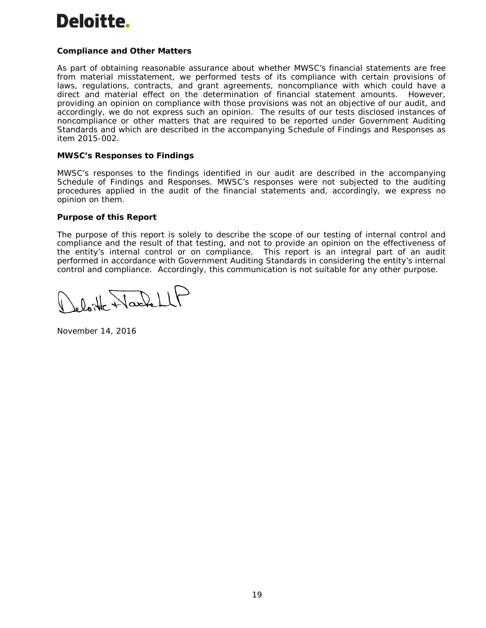# Deloitte.

### **Compliance and Other Matters**

As part of obtaining reasonable assurance about whether MWSC's financial statements are free from material misstatement, we performed tests of its compliance with certain provisions of laws, regulations, contracts, and grant agreements, noncompliance with which could have a direct and material effect on the determination of financial statement amounts. However, providing an opinion on compliance with those provisions was not an objective of our audit, and accordingly, we do not express such an opinion. The results of our tests disclosed instances of noncompliance or other matters that are required to be reported under *Government Auditing Standards* and which are described in the accompanying Schedule of Findings and Responses as item 2015-002*.*

#### **MWSC's Responses to Findings**

MWSC's responses to the findings identified in our audit are described in the accompanying Schedule of Findings and Responses. MWSC's responses were not subjected to the auditing procedures applied in the audit of the financial statements and, accordingly, we express no opinion on them.

#### **Purpose of this Report**

The purpose of this report is solely to describe the scope of our testing of internal control and compliance and the result of that testing, and not to provide an opinion on the effectiveness of the entity's internal control or on compliance. This report is an integral part of an audit performed in accordance with *Government Auditing Standards* in considering the entity's internal control and compliance. Accordingly, this communication is not suitable for any other purpose.

 $0.16$  Nache

November 14, 2016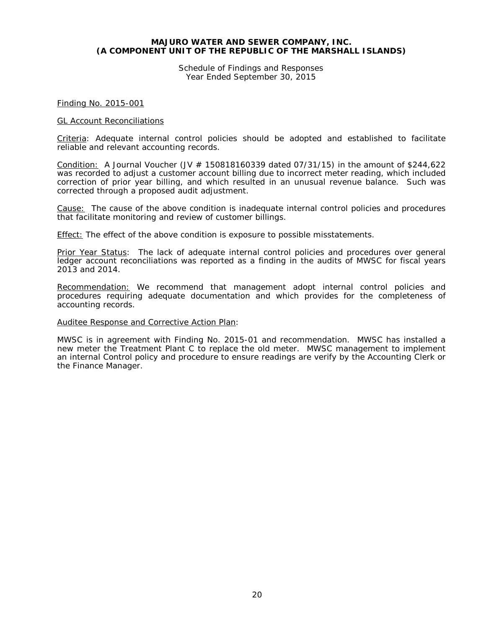Schedule of Findings and Responses Year Ended September 30, 2015

#### Finding No. 2015-001

#### GL Account Reconciliations

Criteria: Adequate internal control policies should be adopted and established to facilitate reliable and relevant accounting records.

Condition: A Journal Voucher (JV  $#$  150818160339 dated 07/31/15) in the amount of \$244,622 was recorded to adjust a customer account billing due to incorrect meter reading, which included correction of prior year billing, and which resulted in an unusual revenue balance. Such was corrected through a proposed audit adjustment.

Cause: The cause of the above condition is inadequate internal control policies and procedures that facilitate monitoring and review of customer billings.

Effect: The effect of the above condition is exposure to possible misstatements.

Prior Year Status: The lack of adequate internal control policies and procedures over general ledger account reconciliations was reported as a finding in the audits of MWSC for fiscal years 2013 and 2014.

Recommendation: We recommend that management adopt internal control policies and procedures requiring adequate documentation and which provides for the completeness of accounting records.

#### Auditee Response and Corrective Action Plan:

MWSC is in agreement with Finding No. 2015-01 and recommendation. MWSC has installed a new meter the Treatment Plant C to replace the old meter. MWSC management to implement an internal Control policy and procedure to ensure readings are verify by the Accounting Clerk or the Finance Manager.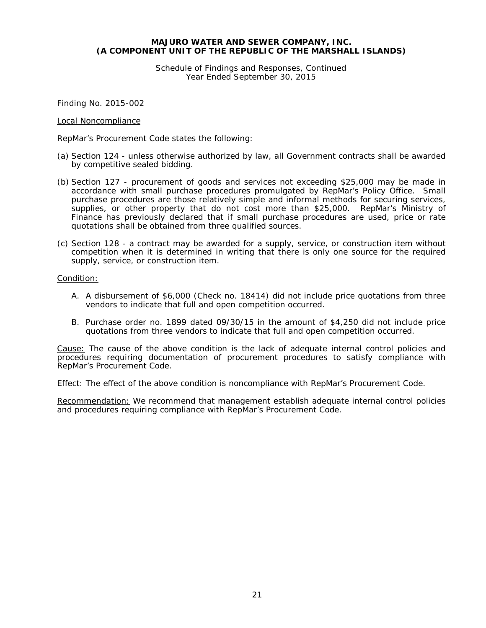Schedule of Findings and Responses, Continued Year Ended September 30, 2015

Finding No. 2015-002

#### Local Noncompliance

RepMar's Procurement Code states the following:

- (a) Section 124 unless otherwise authorized by law, all Government contracts shall be awarded by competitive sealed bidding.
- (b) Section 127 procurement of goods and services not exceeding \$25,000 may be made in accordance with small purchase procedures promulgated by RepMar's Policy Office. Small purchase procedures are those relatively simple and informal methods for securing services, supplies, or other property that do not cost more than \$25,000. RepMar's Ministry of Finance has previously declared that if small purchase procedures are used, price or rate quotations shall be obtained from three qualified sources.
- (c) Section 128 a contract may be awarded for a supply, service, or construction item without competition when it is determined in writing that there is only one source for the required supply, service, or construction item.

#### Condition:

- A. A disbursement of \$6,000 (Check no. 18414) did not include price quotations from three vendors to indicate that full and open competition occurred.
- B. Purchase order no. 1899 dated 09/30/15 in the amount of \$4,250 did not include price quotations from three vendors to indicate that full and open competition occurred.

Cause: The cause of the above condition is the lack of adequate internal control policies and procedures requiring documentation of procurement procedures to satisfy compliance with RepMar's Procurement Code.

Effect: The effect of the above condition is noncompliance with RepMar's Procurement Code.

Recommendation: We recommend that management establish adequate internal control policies and procedures requiring compliance with RepMar's Procurement Code.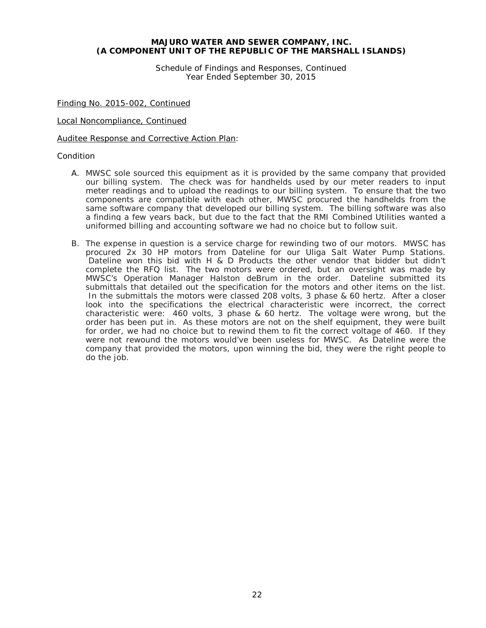Schedule of Findings and Responses, Continued Year Ended September 30, 2015

Finding No. 2015-002, Continued

Local Noncompliance, Continued

Auditee Response and Corrective Action Plan:

#### Condition

- A. MWSC sole sourced this equipment as it is provided by the same company that provided our billing system. The check was for handhelds used by our meter readers to input meter readings and to upload the readings to our billing system. To ensure that the two components are compatible with each other, MWSC procured the handhelds from the same software company that developed our billing system. The billing software was also a finding a few years back, but due to the fact that the RMI Combined Utilities wanted a uniformed billing and accounting software we had no choice but to follow suit.
- B. The expense in question is a service charge for rewinding two of our motors. MWSC has procured 2x 30 HP motors from Dateline for our Uliga Salt Water Pump Stations. Dateline won this bid with H & D Products the other vendor that bidder but didn't complete the RFQ list. The two motors were ordered, but an oversight was made by MWSC's Operation Manager Halston deBrum in the order. Dateline submitted its submittals that detailed out the specification for the motors and other items on the list. In the submittals the motors were classed 208 volts, 3 phase & 60 hertz. After a closer look into the specifications the electrical characteristic were incorrect, the correct characteristic were: 460 volts, 3 phase & 60 hertz. The voltage were wrong, but the order has been put in. As these motors are not on the shelf equipment, they were built for order, we had no choice but to rewind them to fit the correct voltage of 460. If they were not rewound the motors would've been useless for MWSC. As Dateline were the company that provided the motors, upon winning the bid, they were the right people to do the job.